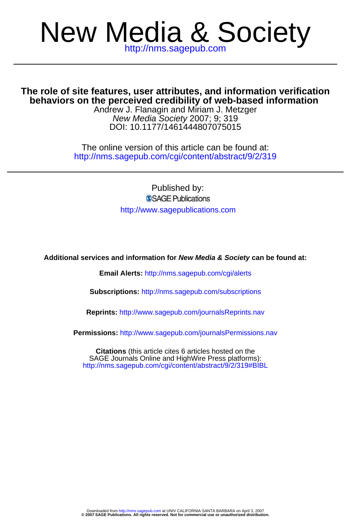# New Media & Society

**behaviors on the perceived credibility of web-based information The role of site features, user attributes, and information verification**

DOI: 10.1177/1461444807075015 New Media Society 2007; 9; 319 Andrew J. Flanagin and Miriam J. Metzger

http://nms.sagepub.com/cgi/content/abstract/9/2/319 The online version of this article can be found at:

> Published by: SSAGE Publications http://www.sagepublications.com

**Additional services and information for New Media & Society can be found at:**

**Email Alerts:** <http://nms.sagepub.com/cgi/alerts>

**Subscriptions:** <http://nms.sagepub.com/subscriptions>

**Reprints:** <http://www.sagepub.com/journalsReprints.nav>

**Permissions:** <http://www.sagepub.com/journalsPermissions.nav>

<http://nms.sagepub.com/cgi/content/abstract/9/2/319#BIBL> SAGE Journals Online and HighWire Press platforms): **Citations** (this article cites 6 articles hosted on the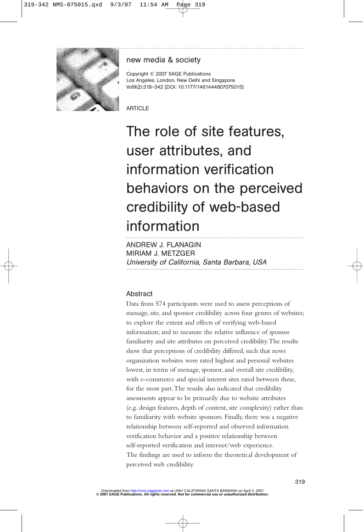

# new media & society

Copyright © 2007 SAGE Publications Los Angeles, London, New Delhi and Singapore Vol9(2):319–342 [DOI: 10.1177/1461444807075015]

**ARTICLE** 

# The role of site features, user attributes, and information verification behaviors on the perceived credibility of web-based information

ANDREW J. FLANAGIN MIRIAM J. METZGER University of California, Santa Barbara, USA

# Abstract

Data from 574 participants were used to assess perceptions of message, site, and sponsor credibility across four genres of websites; to explore the extent and effects of verifying web-based information; and to measure the relative influence of sponsor familiarity and site attributes on perceived credibility.The results show that perceptions of credibility differed, such that news organization websites were rated highest and personal websites lowest, in terms of message, sponsor, and overall site credibility, with e-commerce and special interest sites rated between these, for the most part.The results also indicated that credibility assessments appear to be primarily due to website attributes (e.g. design features, depth of content, site complexity) rather than to familiarity with website sponsors. Finally, there was a negative relationship between self-reported and observed information verification behavior and a positive relationship between self-reported verification and internet/web experience. The findings are used to inform the theoretical development of perceived web credibility.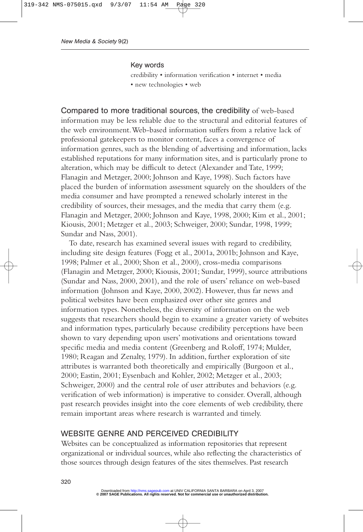#### Key words

credibility • information verification • internet • media • new technologies • web

Compared to more traditional sources, the credibility of web-based information may be less reliable due to the structural and editorial features of the web environment.Web-based information suffers from a relative lack of professional gatekeepers to monitor content, faces a convergence of information genres, such as the blending of advertising and information, lacks established reputations for many information sites, and is particularly prone to alteration, which may be difficult to detect (Alexander and Tate, 1999; Flanagin and Metzger, 2000; Johnson and Kaye, 1998). Such factors have placed the burden of information assessment squarely on the shoulders of the media consumer and have prompted a renewed scholarly interest in the credibility of sources, their messages, and the media that carry them (e.g. Flanagin and Metzger, 2000; Johnson and Kaye, 1998, 2000; Kim et al., 2001; Kiousis, 2001; Metzger et al., 2003; Schweiger, 2000; Sundar, 1998, 1999; Sundar and Nass, 2001).

To date, research has examined several issues with regard to credibility, including site design features (Fogg et al., 2001a, 2001b; Johnson and Kaye, 1998; Palmer et al., 2000; Shon et al., 2000), cross-media comparisons (Flanagin and Metzger, 2000; Kiousis, 2001; Sundar, 1999), source attributions (Sundar and Nass, 2000, 2001), and the role of users' reliance on web-based information (Johnson and Kaye, 2000, 2002). However, thus far news and political websites have been emphasized over other site genres and information types. Nonetheless, the diversity of information on the web suggests that researchers should begin to examine a greater variety of websites and information types, particularly because credibility perceptions have been shown to vary depending upon users' motivations and orientations toward specific media and media content (Greenberg and Roloff, 1974; Mulder, 1980; Reagan and Zenalty, 1979). In addition, further exploration of site attributes is warranted both theoretically and empirically (Burgoon et al., 2000; Eastin, 2001; Eysenbach and Kohler, 2002; Metzger et al., 2003; Schweiger, 2000) and the central role of user attributes and behaviors (e.g. verification of web information) is imperative to consider. Overall, although past research provides insight into the core elements of web credibility, there remain important areas where research is warranted and timely.

#### WEBSITE GENRE AND PERCEIVED CREDIBILITY

Websites can be conceptualized as information repositories that represent organizational or individual sources, while also reflecting the characteristics of those sources through design features of the sites themselves. Past research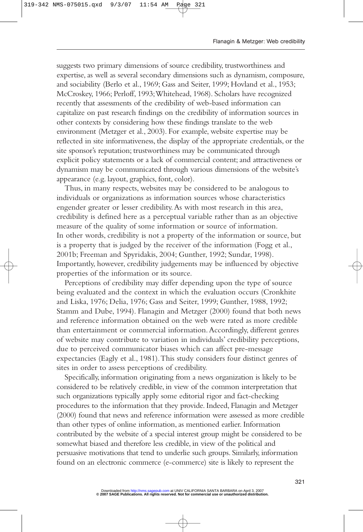suggests two primary dimensions of source credibility, trustworthiness and expertise, as well as several secondary dimensions such as dynamism, composure, and sociability (Berlo et al., 1969; Gass and Seiter, 1999; Hovland et al., 1953; McCroskey, 1966; Perloff, 1993;Whitehead, 1968). Scholars have recognized recently that assessments of the credibility of web-based information can capitalize on past research findings on the credibility of information sources in other contexts by considering how these findings translate to the web environment (Metzger et al., 2003). For example, website expertise may be reflected in site informativeness, the display of the appropriate credentials, or the site sponsor's reputation; trustworthiness may be communicated through explicit policy statements or a lack of commercial content; and attractiveness or dynamism may be communicated through various dimensions of the website's appearance (e.g. layout, graphics, font, color).

Thus, in many respects, websites may be considered to be analogous to individuals or organizations as information sources whose characteristics engender greater or lesser credibility.As with most research in this area, credibility is defined here as a perceptual variable rather than as an objective measure of the quality of some information or source of information. In other words, credibility is not a property of the information or source, but is a property that is judged by the receiver of the information (Fogg et al., 2001b; Freeman and Spyridakis, 2004; Gunther, 1992; Sundar, 1998). Importantly, however, credibility judgements may be influenced by objective properties of the information or its source.

Perceptions of credibility may differ depending upon the type of source being evaluated and the context in which the evaluation occurs (Cronkhite and Liska, 1976; Delia, 1976; Gass and Seiter, 1999; Gunther, 1988, 1992; Stamm and Dube, 1994). Flanagin and Metzger (2000) found that both news and reference information obtained on the web were rated as more credible than entertainment or commercial information.Accordingly, different genres of website may contribute to variation in individuals' credibility perceptions, due to perceived communicator biases which can affect pre-message expectancies (Eagly et al., 1981).This study considers four distinct genres of sites in order to assess perceptions of credibility.

Specifically, information originating from a news organization is likely to be considered to be relatively credible, in view of the common interpretation that such organizations typically apply some editorial rigor and fact-checking procedures to the information that they provide. Indeed, Flanagin and Metzger (2000) found that news and reference information were assessed as more credible than other types of online information, as mentioned earlier. Information contributed by the website of a special interest group might be considered to be somewhat biased and therefore less credible, in view of the political and persuasive motivations that tend to underlie such groups. Similarly, information found on an electronic commerce (e-commerce) site is likely to represent the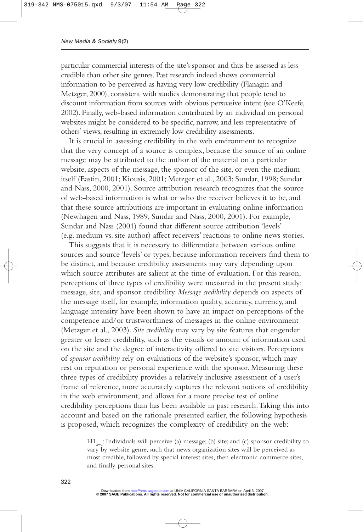particular commercial interests of the site's sponsor and thus be assessed as less credible than other site genres. Past research indeed shows commercial information to be perceived as having very low credibility (Flanagin and Metzger, 2000), consistent with studies demonstrating that people tend to discount information from sources with obvious persuasive intent (see O'Keefe, 2002). Finally, web-based information contributed by an individual on personal websites might be considered to be specific, narrow, and less representative of others' views, resulting in extremely low credibility assessments.

It is crucial in assessing credibility in the web environment to recognize that the very concept of a source is complex, because the source of an online message may be attributed to the author of the material on a particular website, aspects of the message, the sponsor of the site, or even the medium itself (Eastin, 2001; Kiousis, 2001; Metzger et al., 2003; Sundar, 1998; Sundar and Nass, 2000, 2001). Source attribution research recognizes that the source of web-based information is what or who the receiver believes it to be, and that these source attributions are important in evaluating online information (Newhagen and Nass, 1989; Sundar and Nass, 2000, 2001). For example, Sundar and Nass (2001) found that different source attribution 'levels' (e.g. medium vs. site author) affect receivers' reactions to online news stories.

This suggests that it is necessary to differentiate between various online sources and source 'levels' or types, because information receivers find them to be distinct, and because credibility assessments may vary depending upon which source attributes are salient at the time of evaluation. For this reason, perceptions of three types of credibility were measured in the present study: message, site, and sponsor credibility. *Message credibility* depends on aspects of the message itself, for example, information quality, accuracy, currency, and language intensity have been shown to have an impact on perceptions of the competence and/or trustworthiness of messages in the online environment (Metzger et al., 2003). *Site credibility* may vary by site features that engender greater or lesser credibility, such as the visuals or amount of information used on the site and the degree of interactivity offered to site visitors. Perceptions of *sponsor credibility* rely on evaluations of the website's sponsor, which may rest on reputation or personal experience with the sponsor. Measuring these three types of credibility provides a relatively inclusive assessment of a user's frame of reference, more accurately captures the relevant notions of credibility in the web environment, and allows for a more precise test of online credibility perceptions than has been available in past research.Taking this into account and based on the rationale presented earlier, the following hypothesis is proposed, which recognizes the complexity of credibility on the web:

> $H1_{a-c}$ : Individuals will perceive (a) message; (b) site; and (c) sponsor credibility to vary by website genre, such that news organization sites will be perceived as most credible, followed by special interest sites, then electronic commerce sites, and finally personal sites.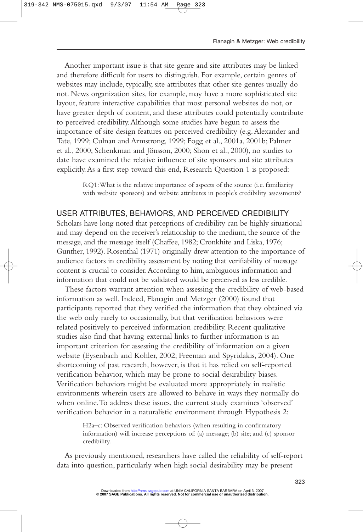Another important issue is that site genre and site attributes may be linked and therefore difficult for users to distinguish. For example, certain genres of websites may include, typically, site attributes that other site genres usually do not. News organization sites, for example, may have a more sophisticated site layout, feature interactive capabilities that most personal websites do not, or have greater depth of content, and these attributes could potentially contribute to perceived credibility.Although some studies have begun to assess the importance of site design features on perceived credibility (e.g.Alexander and Tate, 1999; Culnan and Armstrong, 1999; Fogg et al., 2001a, 2001b; Palmer et al., 2000; Schenkman and Jönsson, 2000; Shon et al., 2000), no studies to date have examined the relative influence of site sponsors and site attributes explicitly.As a first step toward this end, Research Question 1 is proposed:

> RQ1:What is the relative importance of aspects of the source (i.e. familiarity with website sponsors) and website attributes in people's credibility assessments?

# USER ATTRIBUTES, BEHAVIORS, AND PERCEIVED CREDIBILITY

Scholars have long noted that perceptions of credibility can be highly situational and may depend on the receiver's relationship to the medium, the source of the message, and the message itself (Chaffee, 1982; Cronkhite and Liska, 1976; Gunther, 1992). Rosenthal (1971) originally drew attention to the importance of audience factors in credibility assessment by noting that verifiability of message content is crucial to consider.According to him, ambiguous information and information that could not be validated would be perceived as less credible.

These factors warrant attention when assessing the credibility of web-based information as well. Indeed, Flanagin and Metzger (2000) found that participants reported that they verified the information that they obtained via the web only rarely to occasionally, but that verification behaviors were related positively to perceived information credibility. Recent qualitative studies also find that having external links to further information is an important criterion for assessing the credibility of information on a given website (Eysenbach and Kohler, 2002; Freeman and Spyridakis, 2004). One shortcoming of past research, however, is that it has relied on self-reported verification behavior, which may be prone to social desirability biases. Verification behaviors might be evaluated more appropriately in realistic environments wherein users are allowed to behave in ways they normally do when online.To address these issues, the current study examines 'observed' verification behavior in a naturalistic environment through Hypothesis 2:

> H2a–c: Observed verification behaviors (when resulting in confirmatory information) will increase perceptions of: (a) message; (b) site; and (c) sponsor credibility.

As previously mentioned, researchers have called the reliability of self-report data into question, particularly when high social desirability may be present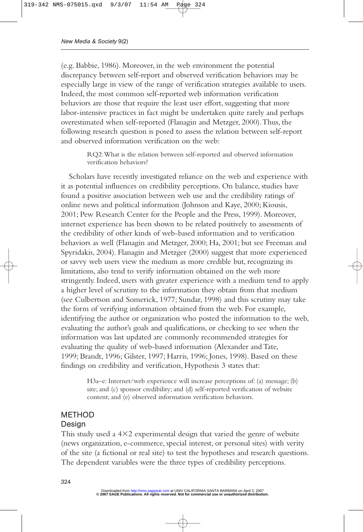(e.g. Babbie, 1986). Moreover, in the web environment the potential discrepancy between self-report and observed verification behaviors may be especially large in view of the range of verification strategies available to users. Indeed, the most common self-reported web information verification behaviors are those that require the least user effort, suggesting that more labor-intensive practices in fact might be undertaken quite rarely and perhaps overestimated when self-reported (Flanagin and Metzger, 2000).Thus, the following research question is posed to assess the relation between self-report and observed information verification on the web:

> RQ2:What is the relation between self-reported and observed information verification behaviors?

Scholars have recently investigated reliance on the web and experience with it as potential influences on credibility perceptions. On balance, studies have found a positive association between web use and the credibility ratings of online news and political information (Johnson and Kaye, 2000; Kiousis, 2001; Pew Research Center for the People and the Press, 1999). Moreover, internet experience has been shown to be related positively to assessments of the credibility of other kinds of web-based information and to verification behaviors as well (Flanagin and Metzger, 2000; Ha, 2001; but see Freeman and Spyridakis, 2004). Flanagin and Metzger (2000) suggest that more experienced or savvy web users view the medium as more credible but, recognizing its limitations, also tend to verify information obtained on the web more stringently. Indeed, users with greater experience with a medium tend to apply a higher level of scrutiny to the information they obtain from that medium (see Culbertson and Somerick, 1977; Sundar, 1998) and this scrutiny may take the form of verifying information obtained from the web. For example, identifying the author or organization who posted the information to the web, evaluating the author's goals and qualifications, or checking to see when the information was last updated are commonly recommended strategies for evaluating the quality of web-based information (Alexander and Tate, 1999; Brandt, 1996; Gilster, 1997; Harris, 1996; Jones, 1998). Based on these findings on credibility and verification, Hypothesis 3 states that:

> H3a–e: Internet/web experience will increase perceptions of: (a) message; (b) site; and (c) sponsor credibility; and (d) self-reported verification of website content; and (e) observed information verification behaviors.

#### METHOD Design

This study used a  $4\times2$  experimental design that varied the genre of website (news organization, e-commerce, special interest, or personal sites) with verity of the site (a fictional or real site) to test the hypotheses and research questions. The dependent variables were the three types of credibility perceptions.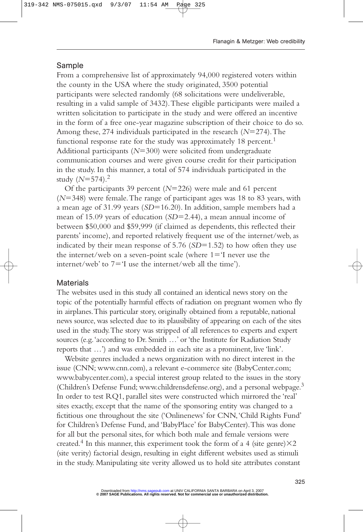#### Sample

From a comprehensive list of approximately 94,000 registered voters within the county in the USA where the study originated, 3500 potential participants were selected randomly (68 solicitations were undeliverable, resulting in a valid sample of 3432).These eligible participants were mailed a written solicitation to participate in the study and were offered an incentive in the form of a free one-year magazine subscription of their choice to do so. Among these, 274 individuals participated in the research (N=274). The functional response rate for the study was approximately 18 percent.<sup>1</sup> Additional participants (N=300) were solicited from undergraduate communication courses and were given course credit for their participation in the study. In this manner, a total of 574 individuals participated in the study (*N*-574).2

Of the participants 39 percent (N=226) were male and 61 percent (*N*-348) were female.The range of participant ages was 18 to 83 years, with a mean age of 31.99 years (*SD*=16.20). In addition, sample members had a mean of 15.09 years of education (*SD*=2.44), a mean annual income of between \$50,000 and \$59,999 (if claimed as dependents, this reflected their parents' income), and reported relatively frequent use of the internet/web, as indicated by their mean response of 5.76 (*SD*=1.52) to how often they use the internet/web on a seven-point scale (where  $1 = 'I$  never use the  $internet/web'$  to  $7 = 1$  use the internet/web all the time').

#### **Materials**

The websites used in this study all contained an identical news story on the topic of the potentially harmful effects of radiation on pregnant women who fly in airplanes.This particular story, originally obtained from a reputable, national news source, was selected due to its plausibility of appearing on each of the sites used in the study.The story was stripped of all references to experts and expert sources (e.g.'according to Dr. Smith …' or 'the Institute for Radiation Study reports that …') and was embedded in each site as a prominent, live 'link'.

Website genres included a news organization with no direct interest in the issue (CNN; www.cnn.com), a relevant e-commerce site (BabyCenter.com; www.babycenter.com), a special interest group related to the issues in the story (Children's Defense Fund; www.childrensdefense.org), and a personal webpage.<sup>3</sup> In order to test RQ1, parallel sites were constructed which mirrored the 'real' sites exactly, except that the name of the sponsoring entity was changed to a fictitious one throughout the site ('Onlinenews' for CNN,'Child Rights Fund' for Children's Defense Fund, and 'BabyPlace' for BabyCenter).This was done for all but the personal sites, for which both male and female versions were created.<sup>4</sup> In this manner, this experiment took the form of a 4 (site genre) $\times 2$ (site verity) factorial design, resulting in eight different websites used as stimuli in the study. Manipulating site verity allowed us to hold site attributes constant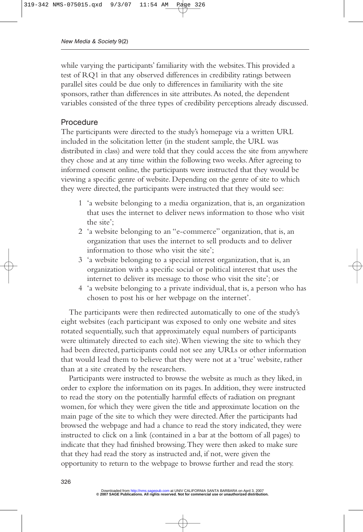while varying the participants' familiarity with the websites.This provided a test of RQ1 in that any observed differences in credibility ratings between parallel sites could be due only to differences in familiarity with the site sponsors, rather than differences in site attributes.As noted, the dependent variables consisted of the three types of credibility perceptions already discussed.

#### Procedure

The participants were directed to the study's homepage via a written URL included in the solicitation letter (in the student sample, the URL was distributed in class) and were told that they could access the site from anywhere they chose and at any time within the following two weeks.After agreeing to informed consent online, the participants were instructed that they would be viewing a specific genre of website. Depending on the genre of site to which they were directed, the participants were instructed that they would see:

- 1 'a website belonging to a media organization, that is, an organization that uses the internet to deliver news information to those who visit the site';
- 2 'a website belonging to an "e-commerce" organization, that is, an organization that uses the internet to sell products and to deliver information to those who visit the site';
- 3 'a website belonging to a special interest organization, that is, an organization with a specific social or political interest that uses the internet to deliver its message to those who visit the site'; or
- 4 'a website belonging to a private individual, that is, a person who has chosen to post his or her webpage on the internet'.

The participants were then redirected automatically to one of the study's eight websites (each participant was exposed to only one website and sites rotated sequentially, such that approximately equal numbers of participants were ultimately directed to each site).When viewing the site to which they had been directed, participants could not see any URLs or other information that would lead them to believe that they were not at a 'true' website, rather than at a site created by the researchers.

Participants were instructed to browse the website as much as they liked, in order to explore the information on its pages. In addition, they were instructed to read the story on the potentially harmful effects of radiation on pregnant women, for which they were given the title and approximate location on the main page of the site to which they were directed.After the participants had browsed the webpage and had a chance to read the story indicated, they were instructed to click on a link (contained in a bar at the bottom of all pages) to indicate that they had finished browsing.They were then asked to make sure that they had read the story as instructed and, if not, were given the opportunity to return to the webpage to browse further and read the story.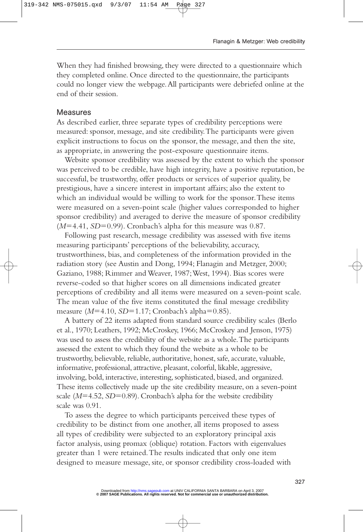When they had finished browsing, they were directed to a questionnaire which they completed online. Once directed to the questionnaire, the participants could no longer view the webpage.All participants were debriefed online at the end of their session.

#### Measures

As described earlier, three separate types of credibility perceptions were measured: sponsor, message, and site credibility.The participants were given explicit instructions to focus on the sponsor, the message, and then the site, as appropriate, in answering the post-exposure questionnaire items.

Website sponsor credibility was assessed by the extent to which the sponsor was perceived to be credible, have high integrity, have a positive reputation, be successful, be trustworthy, offer products or services of superior quality, be prestigious, have a sincere interest in important affairs; also the extent to which an individual would be willing to work for the sponsor.These items were measured on a seven-point scale (higher values corresponded to higher sponsor credibility) and averaged to derive the measure of sponsor credibility ( $M=4.41$ ,  $SD=0.99$ ). Cronbach's alpha for this measure was 0.87.

Following past research, message credibility was assessed with five items measuring participants' perceptions of the believability, accuracy, trustworthiness, bias, and completeness of the information provided in the radiation story (see Austin and Dong, 1994; Flanagin and Metzger, 2000; Gaziano, 1988; Rimmer and Weaver, 1987;West, 1994). Bias scores were reverse-coded so that higher scores on all dimensions indicated greater perceptions of credibility and all items were measured on a seven-point scale. The mean value of the five items constituted the final message credibility measure (M=4.10, *SD*=1.17; Cronbach's alpha=0.85).

A battery of 22 items adapted from standard source credibility scales (Berlo et al., 1970; Leathers, 1992; McCroskey, 1966; McCroskey and Jenson, 1975) was used to assess the credibility of the website as a whole.The participants assessed the extent to which they found the website as a whole to be trustworthy, believable, reliable, authoritative, honest, safe, accurate, valuable, informative, professional, attractive, pleasant, colorful, likable, aggressive, involving, bold, interactive, interesting, sophisticated, biased, and organized. These items collectively made up the site credibility measure, on a seven-point scale ( $M=4.52$ ,  $SD=0.89$ ). Cronbach's alpha for the website credibility scale was 0.91.

To assess the degree to which participants perceived these types of credibility to be distinct from one another, all items proposed to assess all types of credibility were subjected to an exploratory principal axis factor analysis, using promax (oblique) rotation. Factors with eigenvalues greater than 1 were retained.The results indicated that only one item designed to measure message, site, or sponsor credibility cross-loaded with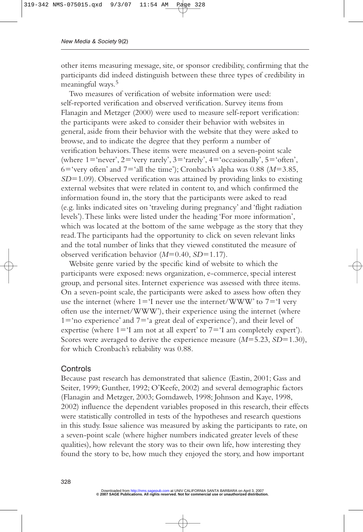other items measuring message, site, or sponsor credibility, confirming that the participants did indeed distinguish between these three types of credibility in meaningful ways.<sup>5</sup>

Two measures of verification of website information were used: self-reported verification and observed verification. Survey items from Flanagin and Metzger (2000) were used to measure self-report verification: the participants were asked to consider their behavior with websites in general, aside from their behavior with the website that they were asked to browse, and to indicate the degree that they perform a number of verification behaviors.These items were measured on a seven-point scale (where  $1$ ='never',  $2$ ='very rarely',  $3$ ='rarely',  $4$ ='occasionally',  $5$ ='often', 6='very often' and 7='all the time'); Cronbach's alpha was 0.88 (M=3.85, *SD*-1.09). Observed verification was attained by providing links to existing external websites that were related in content to, and which confirmed the information found in, the story that the participants were asked to read (e.g. links indicated sites on 'traveling during pregnancy' and 'flight radiation levels').These links were listed under the heading 'For more information', which was located at the bottom of the same webpage as the story that they read.The participants had the opportunity to click on seven relevant links and the total number of links that they viewed constituted the measure of observed verification behavior (M=0.40, SD=1.17).

Website genre varied by the specific kind of website to which the participants were exposed: news organization, e-commerce, special interest group, and personal sites. Internet experience was assessed with three items. On a seven-point scale, the participants were asked to assess how often they use the internet (where  $1 = 'I$  never use the internet/WWW' to  $7 = 'I$  very often use the internet/WWW'), their experience using the internet (where 1='no experience' and 7='a great deal of experience'), and their level of expertise (where  $1 = 'I$  am not at all expert' to  $7 = 'I$  am completely expert'). Scores were averaged to derive the experience measure ( $M=5.23$ ,  $SD=1.30$ ), for which Cronbach's reliability was 0.88.

#### **Controls**

Because past research has demonstrated that salience (Eastin, 2001; Gass and Seiter, 1999; Gunther, 1992; O'Keefe, 2002) and several demographic factors (Flanagin and Metzger, 2003; Gomdaweb, 1998; Johnson and Kaye, 1998, 2002) influence the dependent variables proposed in this research, their effects were statistically controlled in tests of the hypotheses and research questions in this study. Issue salience was measured by asking the participants to rate, on a seven-point scale (where higher numbers indicated greater levels of these qualities), how relevant the story was to their own life, how interesting they found the story to be, how much they enjoyed the story, and how important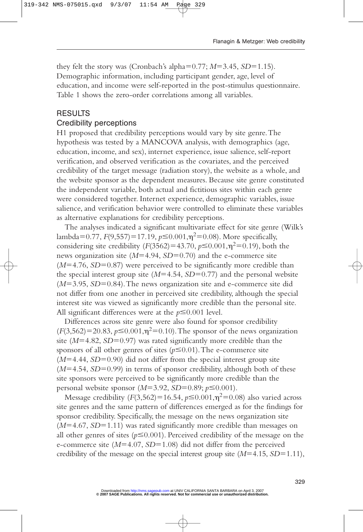they felt the story was (Cronbach's alpha=0.77; *M*=3.45, *SD*=1.15). Demographic information, including participant gender, age, level of education, and income were self-reported in the post-stimulus questionnaire. Table 1 shows the zero-order correlations among all variables.

#### RESULTS

# Credibility perceptions

H1 proposed that credibility perceptions would vary by site genre.The hypothesis was tested by a MANCOVA analysis, with demographics (age, education, income, and sex), internet experience, issue salience, self-report verification, and observed verification as the covariates, and the perceived credibility of the target message (radiation story), the website as a whole, and the website sponsor as the dependent measures. Because site genre constituted the independent variable, both actual and fictitious sites within each genre were considered together. Internet experience, demographic variables, issue salience, and verification behavior were controlled to eliminate these variables as alternative explanations for credibility perceptions.

The analyses indicated a significant multivariate effect for site genre (Wilk's  $\lambda$ lambda=0.77,  $F(9,557)$ =17.19,  $p \le 0.001, \eta^2$ =0.08). More specifically, considering site credibility  $(F(3562) = 43.70, p \le 0.001, \eta^2 = 0.19)$ , both the news organization site ( $M=4.94$ ,  $SD=0.70$ ) and the e-commerce site  $(M=4.76, SD=0.87)$  were perceived to be significantly more credible than the special interest group site  $(M=4.54, SD=0.77)$  and the personal website ( $M=3.95$ ,  $SD=0.84$ ). The news organization site and e-commerce site did not differ from one another in perceived site credibility, although the special interest site was viewed as significantly more credible than the personal site. All significant differences were at the  $p \le 0.001$  level.

Differences across site genre were also found for sponsor credibility  $(F(3, 562) = 20.83, p \le 0.001, \eta^2 = 0.10)$ . The sponsor of the news organization site (M=4.82, SD=0.97) was rated significantly more credible than the sponsors of all other genres of sites  $(p \le 0.01)$ . The e-commerce site  $(M=4.44, SD=0.90)$  did not differ from the special interest group site ( $M=4.54$ ,  $SD=0.99$ ) in terms of sponsor credibility, although both of these site sponsors were perceived to be significantly more credible than the personal website sponsor ( $M=3.92$ ,  $SD=0.89$ ;  $p\leq0.001$ ).

Message credibility  $(F(3, 562)=16.54, p \le 0.001, \eta^2=0.08)$  also varied across site genres and the same pattern of differences emerged as for the findings for sponsor credibility. Specifically, the message on the news organization site ( $M=4.67$ ,  $SD=1.11$ ) was rated significantly more credible than messages on all other genres of sites ( $p \le 0.001$ ). Perceived credibility of the message on the e-commerce site ( $M=4.07$ ,  $SD=1.08$ ) did not differ from the perceived credibility of the message on the special interest group site  $(M=4.15, SD=1.11)$ ,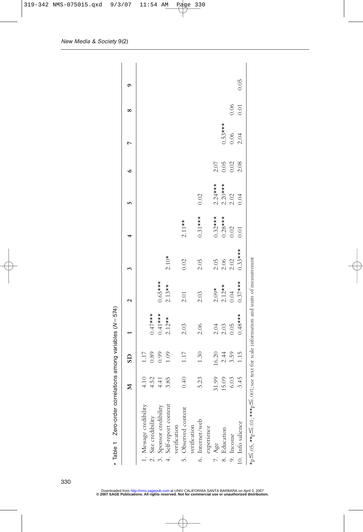|                                                                                                                                                 |           | $\overline{\text{S}}$                               |                                      | 2                             |                    |            | in,            | $\bullet$                      | r         | œ      | ۰    |
|-------------------------------------------------------------------------------------------------------------------------------------------------|-----------|-----------------------------------------------------|--------------------------------------|-------------------------------|--------------------|------------|----------------|--------------------------------|-----------|--------|------|
| 1. Message credibility                                                                                                                          | 4.10      | $1.17$                                              |                                      |                               |                    |            |                |                                |           |        |      |
| 2. Site credibility                                                                                                                             | 4.52      |                                                     | $0.47***$                            |                               |                    |            |                |                                |           |        |      |
| 3. Sponsor credibility                                                                                                                          | $4.41$    | $\begin{array}{c} 0.89 \\ 0.99 \\ 1.09 \end{array}$ | $0.41***$<br>2.12**                  | $0.65***$                     |                    |            |                |                                |           |        |      |
| 4. Self-report content                                                                                                                          | 3.85      |                                                     |                                      | $2.13**$                      | $2.10*$            |            |                |                                |           |        |      |
| verification                                                                                                                                    |           |                                                     |                                      |                               |                    |            |                |                                |           |        |      |
| 5. Observed content                                                                                                                             | 0.40      | $1.17\,$                                            | 2.03                                 | 2.01                          | 0.02               | $2.11**$   |                |                                |           |        |      |
| verification                                                                                                                                    |           |                                                     |                                      |                               |                    |            |                |                                |           |        |      |
| 6. Internet/web                                                                                                                                 | 5.23      | 1.30                                                | 2.06                                 | 2.03                          | 2.05               | $0.31***$  | 0.02           |                                |           |        |      |
| experience                                                                                                                                      |           |                                                     |                                      |                               |                    |            |                |                                |           |        |      |
| 7. Age                                                                                                                                          | 1.99<br>3 | 16.20                                               |                                      |                               |                    | $0.32***$  | $2.24***$      |                                |           |        |      |
| 8. Education                                                                                                                                    | 5.09      | $2.44$<br>$3.59$                                    | 3<br>0<br>0<br>0<br>0<br>0<br>0<br>0 | $2.09*$<br>$2.12**$<br>$0.04$ | 0.5<br>0.6<br>0.02 | $0.28$ *** | $2.20***$      |                                | $0.53***$ |        |      |
| 9. Income                                                                                                                                       | 6.03      |                                                     |                                      |                               |                    | 0.02       | $2.02$<br>0.04 | $2.07$<br>0.05<br>0.02<br>2.08 | 0.06      | 0.06   |      |
| 10. Info salience                                                                                                                               | 3.45      | 1.15                                                | $0.48$ ***                           | $0.37***$                     | $0.33***$          | 0.01       |                |                                | 2.04      | $0.01$ | 0.05 |
| $\star_{p} \leq .05$ , $\star \star_{p} \leq .01$ ; $\star \star \star_{p} \leq .001$ ; see text for scale information and units of measurement |           |                                                     |                                      |                               |                    |            |                |                                |           |        |      |

• Table 1 Zero-order correlations among variables ( N -574)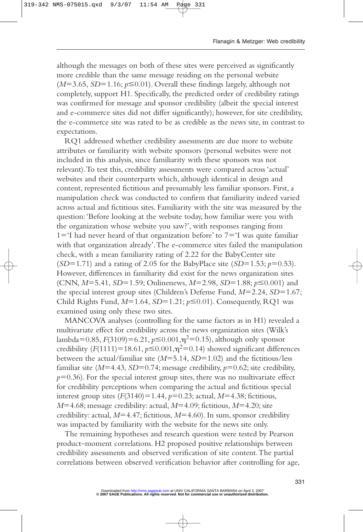although the messages on both of these sites were perceived as significantly more credible than the same message residing on the personal website  $(M=3.65, SD=1.16; p \le 0.01)$ . Overall these findings largely, although not completely, support H1. Specifically, the predicted order of credibility ratings was confirmed for message and sponsor credibility (albeit the special interest and e-commerce sites did not differ significantly); however, for site credibility, the e-commerce site was rated to be as credible as the news site, in contrast to expectations.

RQ1 addressed whether credibility assessments are due more to website attributes or familiarity with website sponsors (personal websites were not included in this analysis, since familiarity with these sponsors was not relevant).To test this, credibility assessments were compared across 'actual' websites and their counterparts which, although identical in design and content, represented fictitious and presumably less familiar sponsors. First, a manipulation check was conducted to confirm that familiarity indeed varied across actual and fictitious sites. Familiarity with the site was measured by the question:'Before looking at the website today, how familiar were you with the organization whose website you saw?', with responses ranging from  $1 = 'I$  had never heard of that organization before' to  $7 = 'I$  was quite familiar with that organization already'.The e-commerce sites failed the manipulation check, with a mean familiarity rating of 2.22 for the BabyCenter site (*SD*=1.71) and a rating of 2.05 for the BabyPlace site (*SD*=1.53;  $p=0.53$ ). However, differences in familiarity did exist for the news organization sites (CNN, *M*=5.41, *SD*=1.59; Onlinenews, *M*=2.98, *SD*=1.88; *p*≤0.001) and the special interest group sites (Children's Defense Fund,  $M=2.24$ ,  $SD=1.67$ ; Child Rights Fund,  $M=1.64$ ,  $SD=1.21$ ;  $p \le 0.01$ ). Consequently, RQ1 was examined using only these two sites.

MANCOVA analyses (controlling for the same factors as in H1) revealed a multivariate effect for credibility across the news organization sites (Wilk's lambda=0.85,  $F(3109) = 6.21, p \le 0.001, \eta^2 = 0.15$ ), although only sponsor credibility ( $F(1111)$ =18.61,  $p \le 0.001$ ,  $\eta$ <sup>2</sup>=0.14) showed significant differences between the actual/familiar site ( $M=5.14$ ,  $SD=1.02$ ) and the fictitious/less familiar site ( $M=4.43$ ,  $SD=0.74$ ; message credibility,  $p=0.62$ ; site credibility,  $p=0.36$ ). For the special interest group sites, there was no multivariate effect for credibility perceptions when comparing the actual and fictitious special interest group sites  $(F(3140) = 1.44, p=0.23;$  actual,  $M=4.38;$  fictitious, *M*=4.68; message credibility: actual, *M*=4.09; fictitious, *M*=4.20; site credibility: actual, *M*=4.47; fictitious, *M*=4.60). In sum, sponsor credibility was impacted by familiarity with the website for the news site only.

The remaining hypotheses and research question were tested by Pearson product–moment correlations. H2 proposed positive relationships between credibility assessments and observed verification of site content.The partial correlations between observed verification behavior after controlling for age,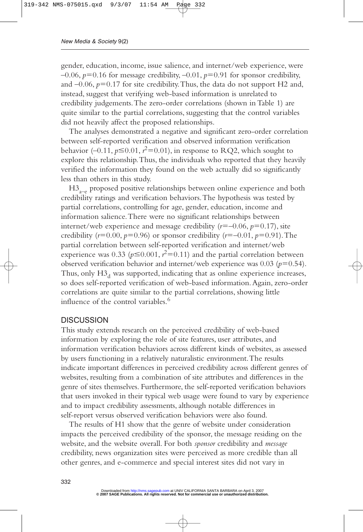gender, education, income, issue salience, and internet/web experience, were  $-0.06$ ,  $p=0.16$  for message credibility,  $-0.01$ ,  $p=0.91$  for sponsor credibility, and  $-0.06$ ,  $p=0.17$  for site credibility. Thus, the data do not support H2 and, instead, suggest that verifying web-based information is unrelated to credibility judgements.The zero-order correlations (shown in Table 1) are quite similar to the partial correlations, suggesting that the control variables did not heavily affect the proposed relationships.

The analyses demonstrated a negative and significant zero-order correlation between self-reported verification and observed information verification behavior  $(-0.11, p \le 0.01, r^2 = 0.01)$ , in response to RQ2, which sought to explore this relationship.Thus, the individuals who reported that they heavily verified the information they found on the web actually did so significantly less than others in this study.

 $H3_{a-e}$  proposed positive relationships between online experience and both credibility ratings and verification behaviors.The hypothesis was tested by partial correlations, controlling for age, gender, education, income and information salience.There were no significant relationships between internet/web experience and message credibility  $(r=-0.06, p=0.17)$ , site credibility ( $r=0.00, p=0.96$ ) or sponsor credibility ( $r=-0.01, p=0.91$ ). The partial correlation between self-reported verification and internet/web experience was 0.33 ( $p \le 0.001$ ,  $r^2 = 0.11$ ) and the partial correlation between observed verification behavior and internet/web experience was  $0.03$  ( $p=0.54$ ). Thus, only  $H3<sub>d</sub>$  was supported, indicating that as online experience increases, so does self-reported verification of web-based information.Again, zero-order correlations are quite similar to the partial correlations, showing little influence of the control variables.<sup>6</sup>

#### **DISCUSSION**

This study extends research on the perceived credibility of web-based information by exploring the role of site features, user attributes, and information verification behaviors across different kinds of websites, as assessed by users functioning in a relatively naturalistic environment.The results indicate important differences in perceived credibility across different genres of websites, resulting from a combination of site attributes and differences in the genre of sites themselves. Furthermore, the self-reported verification behaviors that users invoked in their typical web usage were found to vary by experience and to impact credibility assessments, although notable differences in self-report versus observed verification behaviors were also found.

The results of H1 show that the genre of website under consideration impacts the perceived credibility of the sponsor, the message residing on the website, and the website overall. For both *sponsor* credibility and *message* credibility, news organization sites were perceived as more credible than all other genres, and e-commerce and special interest sites did not vary in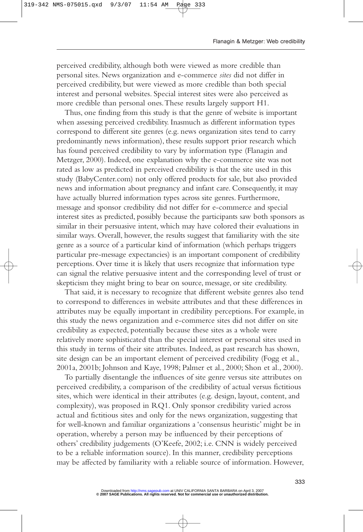perceived credibility, although both were viewed as more credible than personal sites. News organization and e-commerce *sites* did not differ in perceived credibility, but were viewed as more credible than both special interest and personal websites. Special interest sites were also perceived as more credible than personal ones.These results largely support H1.

Thus, one finding from this study is that the genre of website is important when assessing perceived credibility. Inasmuch as different information types correspond to different site genres (e.g. news organization sites tend to carry predominantly news information), these results support prior research which has found perceived credibility to vary by information type (Flanagin and Metzger, 2000). Indeed, one explanation why the e-commerce site was not rated as low as predicted in perceived credibility is that the site used in this study (BabyCenter.com) not only offered products for sale, but also provided news and information about pregnancy and infant care. Consequently, it may have actually blurred information types across site genres. Furthermore, message and sponsor credibility did not differ for e-commerce and special interest sites as predicted, possibly because the participants saw both sponsors as similar in their persuasive intent, which may have colored their evaluations in similar ways. Overall, however, the results suggest that familiarity with the site genre as a source of a particular kind of information (which perhaps triggers particular pre-message expectancies) is an important component of credibility perceptions. Over time it is likely that users recognize that information type can signal the relative persuasive intent and the corresponding level of trust or skepticism they might bring to bear on source, message, or site credibility.

That said, it is necessary to recognize that different website genres also tend to correspond to differences in website attributes and that these differences in attributes may be equally important in credibility perceptions. For example, in this study the news organization and e-commerce sites did not differ on site credibility as expected, potentially because these sites as a whole were relatively more sophisticated than the special interest or personal sites used in this study in terms of their site attributes. Indeed, as past research has shown, site design can be an important element of perceived credibility (Fogg et al., 2001a, 2001b; Johnson and Kaye, 1998; Palmer et al., 2000; Shon et al., 2000).

To partially disentangle the influences of site genre versus site attributes on perceived credibility, a comparison of the credibility of actual versus fictitious sites, which were identical in their attributes (e.g. design, layout, content, and complexity), was proposed in RQ1. Only sponsor credibility varied across actual and fictitious sites and only for the news organization, suggesting that for well-known and familiar organizations a 'consensus heuristic' might be in operation, whereby a person may be influenced by their perceptions of others' credibility judgements (O'Keefe, 2002; i.e. CNN is widely perceived to be a reliable information source). In this manner, credibility perceptions may be affected by familiarity with a reliable source of information. However,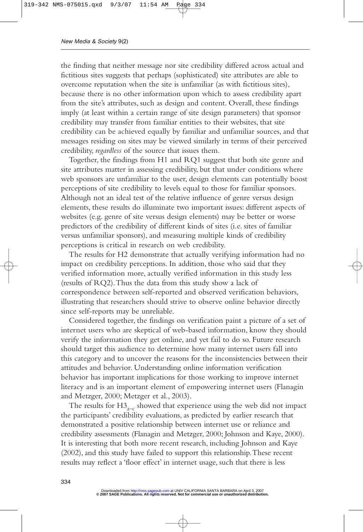the finding that neither message nor site credibility differed across actual and fictitious sites suggests that perhaps (sophisticated) site attributes are able to overcome reputation when the site is unfamiliar (as with fictitious sites), because there is no other information upon which to assess credibility apart from the site's attributes, such as design and content. Overall, these findings imply (at least within a certain range of site design parameters) that sponsor credibility may transfer from familiar entities to their websites, that site credibility can be achieved equally by familiar and unfamiliar sources, and that messages residing on sites may be viewed similarly in terms of their perceived credibility, *regardless* of the source that issues them.

Together, the findings from H1 and RQ1 suggest that both site genre and site attributes matter in assessing credibility, but that under conditions where web sponsors are unfamiliar to the user, design elements can potentially boost perceptions of site credibility to levels equal to those for familiar sponsors. Although not an ideal test of the relative influence of genre versus design elements, these results do illuminate two important issues: different aspects of websites (e.g. genre of site versus design elements) may be better or worse predictors of the credibility of different kinds of sites (i.e. sites of familiar versus unfamiliar sponsors), and measuring multiple kinds of credibility perceptions is critical in research on web credibility.

The results for H2 demonstrate that actually verifying information had no impact on credibility perceptions. In addition, those who said that they verified information more, actually verified information in this study less (results of RQ2).Thus the data from this study show a lack of correspondence between self-reported and observed verification behaviors, illustrating that researchers should strive to observe online behavior directly since self-reports may be unreliable.

Considered together, the findings on verification paint a picture of a set of internet users who are skeptical of web-based information, know they should verify the information they get online, and yet fail to do so. Future research should target this audience to determine how many internet users fall into this category and to uncover the reasons for the inconsistencies between their attitudes and behavior. Understanding online information verification behavior has important implications for those working to improve internet literacy and is an important element of empowering internet users (Flanagin and Metzger, 2000; Metzger et al., 2003).

The results for  $H3_{n-1}$  showed that experience using the web did not impact the participants' credibility evaluations, as predicted by earlier research that demonstrated a positive relationship between internet use or reliance and credibility assessments (Flanagin and Metzger, 2000; Johnson and Kaye, 2000). It is interesting that both more recent research, including Johnson and Kaye (2002), and this study have failed to support this relationship.These recent results may reflect a 'floor effect' in internet usage, such that there is less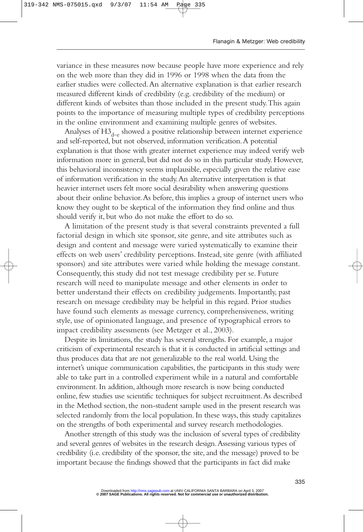variance in these measures now because people have more experience and rely on the web more than they did in 1996 or 1998 when the data from the earlier studies were collected.An alternative explanation is that earlier research measured different kinds of credibility (e.g. credibility of the medium) or different kinds of websites than those included in the present study.This again points to the importance of measuring multiple types of credibility perceptions in the online environment and examining multiple genres of websites.

Analyses of  $H3_{d-e}$  showed a positive relationship between internet experience and self-reported, but not observed, information verification.A potential explanation is that those with greater internet experience may indeed verify web information more in general, but did not do so in this particular study. However, this behavioral inconsistency seems implausible, especially given the relative ease of information verification in the study.An alternative interpretation is that heavier internet users felt more social desirability when answering questions about their online behavior.As before, this implies a group of internet users who know they ought to be skeptical of the information they find online and thus should verify it, but who do not make the effort to do so.

A limitation of the present study is that several constraints prevented a full factorial design in which site sponsor, site genre, and site attributes such as design and content and message were varied systematically to examine their effects on web users' credibility perceptions. Instead, site genre (with affiliated sponsors) and site attributes were varied while holding the message constant. Consequently, this study did not test message credibility per se. Future research will need to manipulate message and other elements in order to better understand their effects on credibility judgements. Importantly, past research on message credibility may be helpful in this regard. Prior studies have found such elements as message currency, comprehensiveness, writing style, use of opinionated language, and presence of typographical errors to impact credibility assessments (see Metzger et al., 2003).

Despite its limitations, the study has several strengths. For example, a major criticism of experimental research is that it is conducted in artificial settings and thus produces data that are not generalizable to the real world. Using the internet's unique communication capabilities, the participants in this study were able to take part in a controlled experiment while in a natural and comfortable environment. In addition, although more research is now being conducted online, few studies use scientific techniques for subject recruitment.As described in the Method section, the non-student sample used in the present research was selected randomly from the local population. In these ways, this study capitalizes on the strengths of both experimental and survey research methodologies.

Another strength of this study was the inclusion of several types of credibility and several genres of websites in the research design.Assessing various types of credibility (i.e. credibility of the sponsor, the site, and the message) proved to be important because the findings showed that the participants in fact did make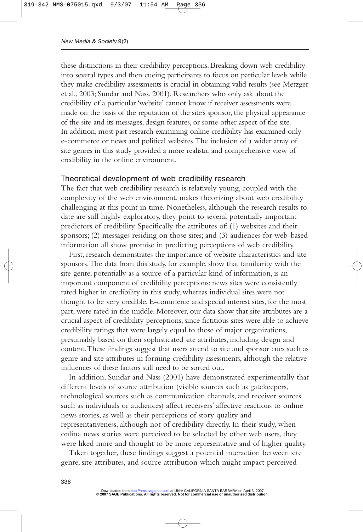these distinctions in their credibility perceptions. Breaking down web credibility into several types and then cueing participants to focus on particular levels while they make credibility assessments is crucial in obtaining valid results (see Metzger et al., 2003; Sundar and Nass, 2001). Researchers who only ask about the credibility of a particular 'website' cannot know if receiver assessments were made on the basis of the reputation of the site's sponsor, the physical appearance of the site and its messages, design features, or some other aspect of the site. In addition, most past research examining online credibility has examined only e-commerce or news and political websites.The inclusion of a wider array of site genres in this study provided a more realistic and comprehensive view of credibility in the online environment.

#### Theoretical development of web credibility research

The fact that web credibility research is relatively young, coupled with the complexity of the web environment, makes theorizing about web credibility challenging at this point in time. Nonetheless, although the research results to date are still highly exploratory, they point to several potentially important predictors of credibility. Specifically the attributes of: (1) websites and their sponsors; (2) messages residing on those sites; and (3) audiences for web-based information all show promise in predicting perceptions of web credibility.

First, research demonstrates the importance of website characteristics and site sponsors.The data from this study, for example, show that familiarity with the site genre, potentially as a source of a particular kind of information, is an important component of credibility perceptions: news sites were consistently rated higher in credibility in this study, whereas individual sites were not thought to be very credible. E-commerce and special interest sites, for the most part, were rated in the middle. Moreover, our data show that site attributes are a crucial aspect of credibility perceptions, since fictitious sites were able to achieve credibility ratings that were largely equal to those of major organizations, presumably based on their sophisticated site attributes, including design and content.These findings suggest that users attend to site and sponsor cues such as genre and site attributes in forming credibility assessments, although the relative influences of these factors still need to be sorted out.

In addition, Sundar and Nass (2001) have demonstrated experimentally that different levels of source attribution (visible sources such as gatekeepers, technological sources such as communication channels, and receiver sources such as individuals or audiences) affect receivers' affective reactions to online news stories, as well as their perceptions of story quality and representativeness, although not of credibility directly. In their study, when online news stories were perceived to be selected by other web users, they were liked more and thought to be more representative and of higher quality.

Taken together, these findings suggest a potential interaction between site genre, site attributes, and source attribution which might impact perceived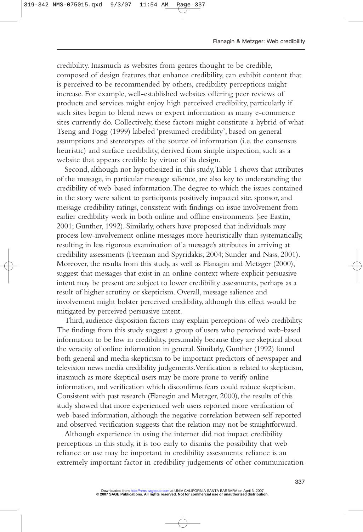credibility. Inasmuch as websites from genres thought to be credible, composed of design features that enhance credibility, can exhibit content that is perceived to be recommended by others, credibility perceptions might increase. For example, well-established websites offering peer reviews of products and services might enjoy high perceived credibility, particularly if such sites begin to blend news or expert information as many e-commerce sites currently do. Collectively, these factors might constitute a hybrid of what Tseng and Fogg (1999) labeled 'presumed credibility', based on general assumptions and stereotypes of the source of information (i.e. the consensus heuristic) and surface credibility, derived from simple inspection, such as a website that appears credible by virtue of its design.

Second, although not hypothesized in this study,Table 1 shows that attributes of the message, in particular message salience, are also key to understanding the credibility of web-based information.The degree to which the issues contained in the story were salient to participants positively impacted site, sponsor, and message credibility ratings, consistent with findings on issue involvement from earlier credibility work in both online and offline environments (see Eastin, 2001; Gunther, 1992). Similarly, others have proposed that individuals may process low-involvement online messages more heuristically than systematically, resulting in less rigorous examination of a message's attributes in arriving at credibility assessments (Freeman and Spyridakis, 2004; Sunder and Nass, 2001). Moreover, the results from this study, as well as Flanagin and Metzger (2000), suggest that messages that exist in an online context where explicit persuasive intent may be present are subject to lower credibility assessments, perhaps as a result of higher scrutiny or skepticism. Overall, message salience and involvement might bolster perceived credibility, although this effect would be mitigated by perceived persuasive intent.

Third, audience disposition factors may explain perceptions of web credibility. The findings from this study suggest a group of users who perceived web-based information to be low in credibility, presumably because they are skeptical about the veracity of online information in general. Similarly, Gunther (1992) found both general and media skepticism to be important predictors of newspaper and television news media credibility judgements.Verification is related to skepticism, inasmuch as more skeptical users may be more prone to verify online information, and verification which disconfirms fears could reduce skepticism. Consistent with past research (Flanagin and Metzger, 2000), the results of this study showed that more experienced web users reported more verification of web-based information, although the negative correlation between self-reported and observed verification suggests that the relation may not be straightforward.

Although experience in using the internet did not impact credibility perceptions in this study, it is too early to dismiss the possibility that web reliance or use may be important in credibility assessments: reliance is an extremely important factor in credibility judgements of other communication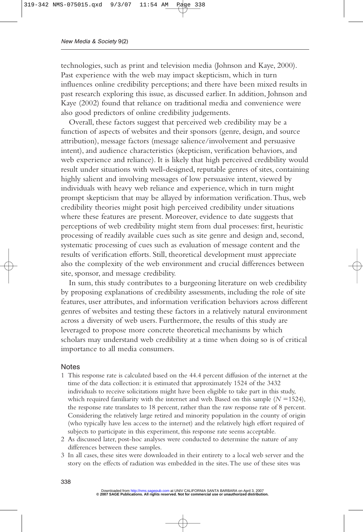technologies, such as print and television media (Johnson and Kaye, 2000). Past experience with the web may impact skepticism, which in turn influences online credibility perceptions; and there have been mixed results in past research exploring this issue, as discussed earlier. In addition, Johnson and Kaye (2002) found that reliance on traditional media and convenience were also good predictors of online credibility judgements.

Overall, these factors suggest that perceived web credibility may be a function of aspects of websites and their sponsors (genre, design, and source attribution), message factors (message salience/involvement and persuasive intent), and audience characteristics (skepticism, verification behaviors, and web experience and reliance). It is likely that high perceived credibility would result under situations with well-designed, reputable genres of sites, containing highly salient and involving messages of low persuasive intent, viewed by individuals with heavy web reliance and experience, which in turn might prompt skepticism that may be allayed by information verification.Thus, web credibility theories might posit high perceived credibility under situations where these features are present. Moreover, evidence to date suggests that perceptions of web credibility might stem from dual processes: first, heuristic processing of readily available cues such as site genre and design and, second, systematic processing of cues such as evaluation of message content and the results of verification efforts. Still, theoretical development must appreciate also the complexity of the web environment and crucial differences between site, sponsor, and message credibility.

In sum, this study contributes to a burgeoning literature on web credibility by proposing explanations of credibility assessments, including the role of site features, user attributes, and information verification behaviors across different genres of websites and testing these factors in a relatively natural environment across a diversity of web users. Furthermore, the results of this study are leveraged to propose more concrete theoretical mechanisms by which scholars may understand web credibility at a time when doing so is of critical importance to all media consumers.

#### **Notes**

- 1 This response rate is calculated based on the 44.4 percent diffusion of the internet at the time of the data collection: it is estimated that approximately 1524 of the 3432 individuals to receive solicitations might have been eligible to take part in this study, which required familiarity with the internet and web. Based on this sample  $(N = 1524)$ , the response rate translates to 18 percent, rather than the raw response rate of 8 percent. Considering the relatively large retired and minority population in the county of origin (who typically have less access to the internet) and the relatively high effort required of subjects to participate in this experiment, this response rate seems acceptable.
- 2 As discussed later, post-hoc analyses were conducted to determine the nature of any differences between these samples.
- 3 In all cases, these sites were downloaded in their entirety to a local web server and the story on the effects of radiation was embedded in the sites.The use of these sites was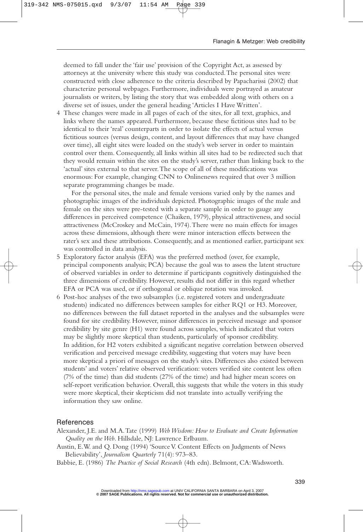deemed to fall under the 'fair use' provision of the Copyright Act, as assessed by attorneys at the university where this study was conducted.The personal sites were constructed with close adherence to the criteria described by Papacharissi (2002) that characterize personal webpages. Furthermore, individuals were portrayed as amateur journalists or writers, by listing the story that was embedded along with others on a diverse set of issues, under the general heading 'Articles I Have Written'.

4 These changes were made in all pages of each of the sites, for all text, graphics, and links where the names appeared. Furthermore, because these fictitious sites had to be identical to their 'real' counterparts in order to isolate the effects of actual versus fictitious sources (versus design, content, and layout differences that may have changed over time), all eight sites were loaded on the study's web server in order to maintain control over them. Consequently, all links within all sites had to be redirected such that they would remain within the sites on the study's server, rather than linking back to the 'actual' sites external to that server.The scope of all of these modifications was enormous: For example, changing CNN to Onlinenews required that over 3 million separate programming changes be made.

For the personal sites, the male and female versions varied only by the names and photographic images of the individuals depicted. Photographic images of the male and female on the sites were pre-tested with a separate sample in order to gauge any differences in perceived competence (Chaiken, 1979), physical attractiveness, and social attractiveness (McCroskey and McCain, 1974).There were no main effects for images across these dimensions, although there were minor interaction effects between the rater's sex and these attributions. Consequently, and as mentioned earlier, participant sex was controlled in data analysis.

- 5 Exploratory factor analysis (EFA) was the preferred method (over, for example, principal components analysis; PCA) because the goal was to assess the latent structure of observed variables in order to determine if participants cognitively distinguished the three dimensions of credibility. However, results did not differ in this regard whether EFA or PCA was used, or if orthogonal or oblique rotation was invoked.
- 6 Post-hoc analyses of the two subsamples (i.e. registered voters and undergraduate students) indicated no differences between samples for either RQ1 or H3. Moreover, no differences between the full dataset reported in the analyses and the subsamples were found for site credibility. However, minor differences in perceived message and sponsor credibility by site genre (H1) were found across samples, which indicated that voters may be slightly more skeptical than students, particularly of sponsor credibility. In addition, for H2 voters exhibited a significant negative correlation between observed verification and perceived message credibility, suggesting that voters may have been more skeptical a priori of messages on the study's sites. Differences also existed between students' and voters' relative observed verification: voters verified site content less often (7% of the time) than did students (27% of the time) and had higher mean scores on self-report verification behavior. Overall, this suggests that while the voters in this study were more skeptical, their skepticism did not translate into actually verifying the information they saw online.

#### References

- Alexander, J.E. and M.A.Tate (1999) *Web Wisdom: How to Evaluate and Create Information Quality on the Web*. Hillsdale, NJ: Lawrence Erlbaum.
- Austin, E.W. and Q. Dong (1994) 'Source V. Content Effects on Judgments of News Believability', *Journalism Quarterly* 71(4): 973–83.
- Babbie, E. (1986) *The Practice of Social Research* (4th edn). Belmont, CA:Wadsworth.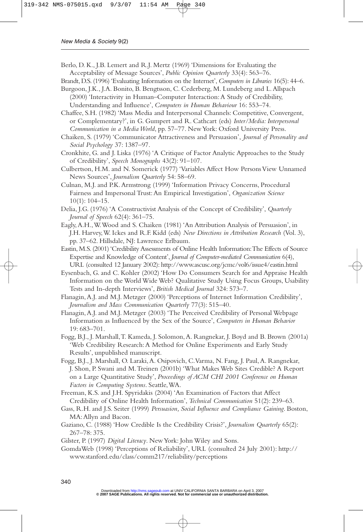- Berlo, D. K., J.B. Lemert and R.J. Mertz (1969) 'Dimensions for Evaluating the Acceptability of Message Sources', *Public Opinion Quarterly* 33(4): 563–76.
- Brandt, D.S. (1996) 'Evaluating Information on the Internet', *Computers in Libraries* 16(5): 44–6.
- Burgoon, J.K., J.A. Bonito, B. Bengtsson, C. Cederberg, M. Lundeberg and L.Allspach (2000) 'Interactivity in Human–Computer Interaction:A Study of Credibility, Understanding and Influence', *Computers in Human Behaviour* 16: 553–74.
- Chaffee, S.H. (1982) 'Mass Media and Interpersonal Channels: Competitive, Convergent, or Complementary?', in G. Gumpert and R. Cathcart (eds) *Inter/Media: Interpersonal Communication in a Media World*, pp. 57–77. New York: Oxford University Press.
- Chaiken, S. (1979) 'Communicator Attractiveness and Persuasion', *Journal of Personality and Social Psychology* 37: 1387–97.
- Cronkhite, G. and J. Liska (1976) 'A Critique of Factor Analytic Approaches to the Study of Credibility', *Speech Monographs* 43(2): 91–107.
- Culbertson, H.M. and N. Somerick (1977) 'Variables Affect How Persons View Unnamed News Sources', *Journalism Quarterly* 54: 58–69.
- Culnan, M.J. and P.K.Armstrong (1999) 'Information Privacy Concerns, Procedural Fairness and Impersonal Trust:An Empirical Investigation', *Organization Science* 10(1): 104–15.
- Delia, J.G. (1976) 'A Constructivist Analysis of the Concept of Credibility', *Quarterly Journal of Speech* 62(4): 361–75.
- Eagly,A.H.,W.Wood and S. Chaiken (1981) 'An Attribution Analysis of Persuasion', in J.H. Harvey,W. Ickes and R.F. Kidd (eds) *New Directions in Attribution Research* (Vol. 3), pp. 37–62. Hillsdale, NJ: Lawrence Erlbaum.
- Eastin, M.S. (2001) 'Credibility Assessments of Online Health Information:The Effects of Source Expertise and Knowledge of Content', *Journal of Computer-mediated Communication* 6(4), URL (consulted 12 January 2002): http://www.ascusc.org/jcmc/vol6/issue4/eastin.html
- Eysenbach, G. and C. Kohler (2002) 'How Do Consumers Search for and Appraise Health Information on the World Wide Web? Qualitative Study Using Focus Groups, Usability Tests and In-depth Interviews', *British Medical Journal* 324: 573–7.
- Flanagin,A.J. and M.J. Metzger (2000) 'Perceptions of Internet Information Credibility', *Journalism and Mass Communication Quarterly* 77(3): 515–40.
- Flanagin,A.J. and M.J. Metzger (2003) 'The Perceived Credibility of Personal Webpage Information as Influenced by the Sex of the Source', *Computers in Human Behavior* 19: 683–701.
- Fogg, B.J., J. Marshall,T. Kameda, J. Solomon,A. Rangnekar, J. Boyd and B. Brown (2001a) 'Web Credibility Research:A Method for Online Experiments and Early Study Results', unpublished manuscript.
- Fogg, B.J., J. Marshall, O. Laraki, A. Osipovich, C. Varma, N. Fang, J. Paul, A. Rangnekar, J. Shon, P. Swani and M.Treinen (2001b) 'What Makes Web Sites Credible? A Report on a Large Quantitative Study', *Proceedings of ACM CHI 2001 Conference on Human Factors in Computing Systems*. Seattle,WA.
- Freeman, K.S. and J.H. Spyridakis (2004) 'An Examination of Factors that Affect Credibility of Online Health Information', *Technical Communication* 51(2): 239–63.
- Gass, R.H. and J.S. Seiter (1999) *Persuasion, Social Influence and Compliance Gaining*. Boston, MA:Allyn and Bacon.
- Gaziano, C. (1988) 'How Credible Is the Credibility Crisis?', *Journalism Quarterly* 65(2): 267–78: 375.
- Gilster, P. (1997) *Digital Literacy*. New York: John Wiley and Sons.
- GomdaWeb (1998) 'Perceptions of Reliability', URL (consulted 24 July 2001): http:// www.stanford.edu/class/comm217/reliability/perceptions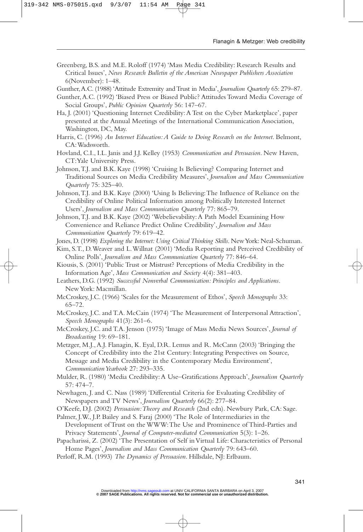- Greenberg, B.S. and M.E. Roloff (1974) 'Mass Media Credibility: Research Results and Critical Issues', *News Research Bulletin of the American Newspaper Publishers Association* 6(November): 1–48.
- Gunther,A.C. (1988) 'Attitude Extremity and Trust in Media', *Journalism Quarterly* 65: 279–87.
- Gunther,A.C. (1992) 'Biased Press or Biased Public? Attitudes Toward Media Coverage of Social Groups', *Public Opinion Quarterly* 56: 147–67.
- Ha, J. (2001) 'Questioning Internet Credibility:A Test on the Cyber Marketplace', paper presented at the Annual Meetings of the International Communication Association, Washington, DC, May.
- Harris, C. (1996) *An Internet Education:A Guide to Doing Research on the Internet*. Belmont, CA:Wadsworth.
- Hovland, C.I., I.L. Janis and J.J. Kelley (1953) *Communication and Persuasion*. New Haven, CT:Yale University Press.
- Johnson,T.J. and B.K. Kaye (1998) 'Cruising Is Believing? Comparing Internet and Traditional Sources on Media Credibility Measures', *Journalism and Mass Communication Quarterly* 75: 325–40.
- Johnson,T.J. and B.K. Kaye (2000) 'Using Is Believing:The Influence of Reliance on the Credibility of Online Political Information among Politically Interested Internet Users', *Journalism and Mass Communication Quarterly* 77: 865–79.
- Johnson,T.J. and B.K. Kaye (2002) 'Webelievability:A Path Model Examining How Convenience and Reliance Predict Online Credibility', *Journalism and Mass Communication Quarterly* 79: 619–42.
- Jones, D. (1998) *Exploring the Internet: Using Critical Thinking Skills*. New York: Neal-Schuman.
- Kim, S.T., D.Weaver and L.Willnat (2001) 'Media Reporting and Perceived Credibility of Online Polls', *Journalism and Mass Communication Quarterly* 77: 846–64.
- Kiousis, S. (2001) 'Public Trust or Mistrust? Perceptions of Media Credibility in the Information Age', *Mass Communication and Society* 4(4): 381–403.
- Leathers, D.G. (1992) *Successful Nonverbal Communication: Principles and Applications*. New York: Macmillan.
- McCroskey, J.C. (1966) 'Scales for the Measurement of Ethos', *Speech Monographs* 33: 65–72.
- McCroskey, J.C. and T.A. McCain (1974) 'The Measurement of Interpersonal Attraction', *Speech Monographs* 41(3): 261–6.
- McCroskey, J.C. and T.A. Jenson (1975) 'Image of Mass Media News Sources', *Journal of Broadcasting* 19: 69–181.
- Metzger, M.J.,A.J. Flanagin, K. Eyal, D.R. Lemus and R. McCann (2003) 'Bringing the Concept of Credibility into the 21st Century: Integrating Perspectives on Source, Message and Media Credibility in the Contemporary Media Environment', *Communication Yearbook* 27: 293–335.
- Mulder, R. (1980) 'Media Credibility:A Use–Gratifications Approach', *Journalism Quarterly* 57: 474–7.
- Newhagen, J. and C. Nass (1989) 'Differential Criteria for Evaluating Credibility of Newspapers and TV News', *Journalism Quarterly* 66(2): 277–84.
- O'Keefe, D.J. (2002) *Persuasion:Theory and Research* (2nd edn). Newbury Park, CA: Sage.
- Palmer, J.W., J.P. Bailey and S. Faraj (2000) 'The Role of Intermediaries in the Development of Trust on the WWW:The Use and Prominence of Third-Parties and Privacy Statements', *Journal of Computer-mediated Communication* 5(3): 1–26.
- Papacharissi, Z. (2002) 'The Presentation of Self in Virtual Life: Characteristics of Personal Home Pages', *Journalism and Mass Communication Quarterly* 79: 643–60.
- Perloff, R.M. (1993) *The Dynamics of Persuasion*. Hillsdale, NJ: Erlbaum.